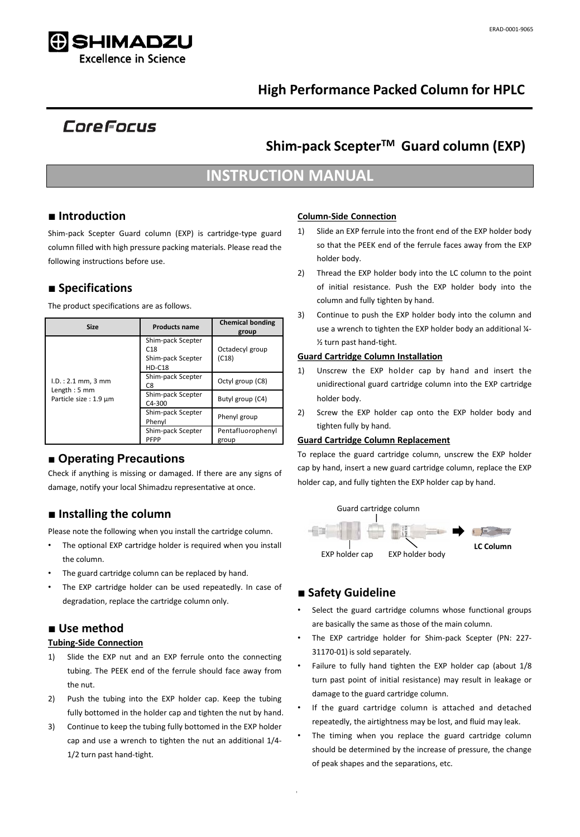

## **High Performance Packed Column for HPLC**

## CoreFocus

# **Shim-pack ScepterTM Guard column (EXP)**

## **INSTRUCTION MANUAL**

## **■ Introduction**

Shim-pack Scepter Guard column (EXP) is cartridge-type guard column filled with high pressure packing materials. Please read the following instructions before use.

### **■ Specifications**

The product specifications are as follows.

| <b>Size</b>                                                             | <b>Products name</b>                                                  | <b>Chemical bonding</b><br>group |
|-------------------------------------------------------------------------|-----------------------------------------------------------------------|----------------------------------|
| I.D. : 2.1 mm, 3 mm<br>Length: $5 \text{ mm}$<br>Particle size : 1.9 µm | Shim-pack Scepter<br>C <sub>18</sub><br>Shim-pack Scepter<br>$HD-C18$ | Octadecyl group<br>(C18)         |
|                                                                         | Shim-pack Scepter<br>C8                                               | Octyl group (C8)                 |
|                                                                         | Shim-pack Scepter<br>$C4 - 300$                                       | Butyl group (C4)                 |
|                                                                         | Shim-pack Scepter<br>Phenyl                                           | Phenyl group                     |
|                                                                         | Shim-pack Scepter<br>PFPP                                             | Pentafluorophenyl<br>group       |

#### **■ Operating Precautions**

Check if anything is missing or damaged. If there are any signs of damage, notify your local Shimadzu representative at once.

## **■ Installing the column**

Please note the following when you install the cartridge column.

- The optional EXP cartridge holder is required when you install the column.
- The guard cartridge column can be replaced by hand.
- The EXP cartridge holder can be used repeatedly. In case of degradation, replace the cartridge column only.

#### **■ Use method**

#### **Tubing-Side Connection**

- 1) Slide the EXP nut and an EXP ferrule onto the connecting tubing. The PEEK end of the ferrule should face away from the nut.
- 2) Push the tubing into the EXP holder cap. Keep the tubing fully bottomed in the holder cap and tighten the nut by hand.
- 3) Continue to keep the tubing fully bottomed in the EXP holder cap and use a wrench to tighten the nut an additional 1/4- 1/2 turn past hand-tight.

#### **Column-Side Connection**

- 1) Slide an EXP ferrule into the front end of the EXP holder body so that the PEEK end of the ferrule faces away from the EXP holder body.
- 2) Thread the EXP holder body into the LC column to the point of initial resistance. Push the EXP holder body into the column and fully tighten by hand.
- 3) Continue to push the EXP holder body into the column and use a wrench to tighten the EXP holder body an additional 1/4-½ turn past hand-tight.

#### **Guard Cartridge Column Installation**

- 1) Unscrew the EXP holder cap by hand and insert the unidirectional guard cartridge column into the EXP cartridge holder body.
- 2) Screw the EXP holder cap onto the EXP holder body and tighten fully by hand.

#### **Guard Cartridge Column Replacement**

To replace the guard cartridge column, unscrew the EXP holder cap by hand, insert a new guard cartridge column, replace the EXP holder cap, and fully tighten the EXP holder cap by hand.



#### **■ Safety Guideline**

- Select the guard cartridge columns whose functional groups are basically the same as those of the main column.
- The EXP cartridge holder for Shim-pack Scepter (PN: 227- 31170-01) is sold separately.
- Failure to fully hand tighten the EXP holder cap (about 1/8 turn past point of initial resistance) may result in leakage or damage to the guard cartridge column.
- If the guard cartridge column is attached and detached repeatedly, the airtightness may be lost, and fluid may leak.
- The timing when you replace the guard cartridge column should be determined by the increase of pressure, the change of peak shapes and the separations, etc.

 $\mathbf{r} = \mathbf{r}_\text{max}$  this instruction sheet are subject to change without notice.